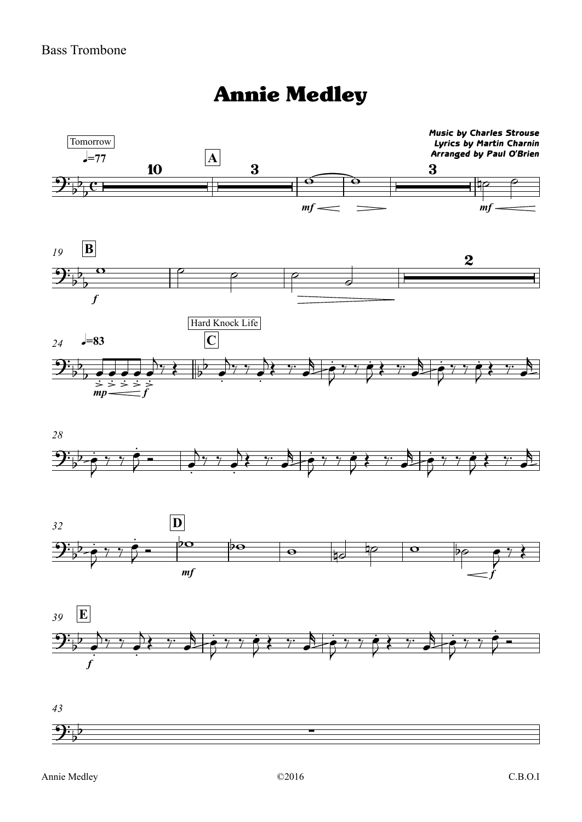## Annie Medley



*43*  $\overline{\mathbf{P}}$  $\overline{)}$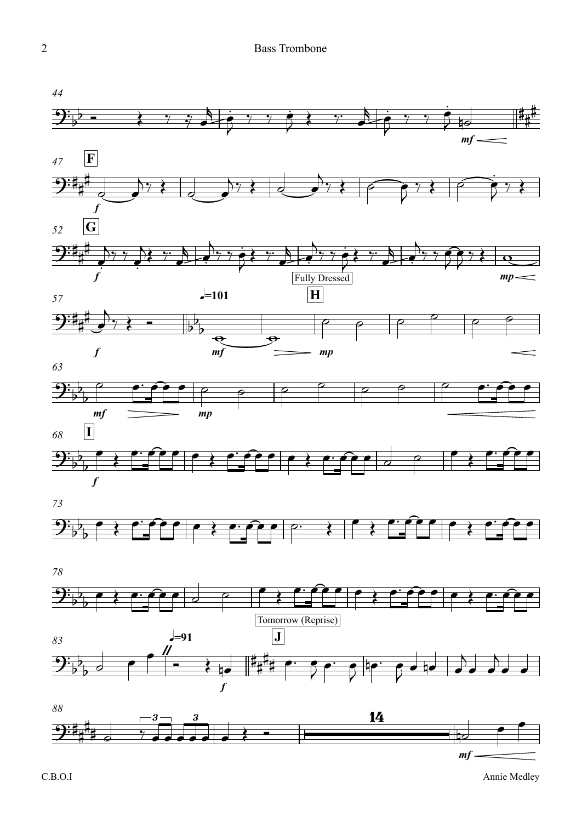

C.B.O.I Annie Medley